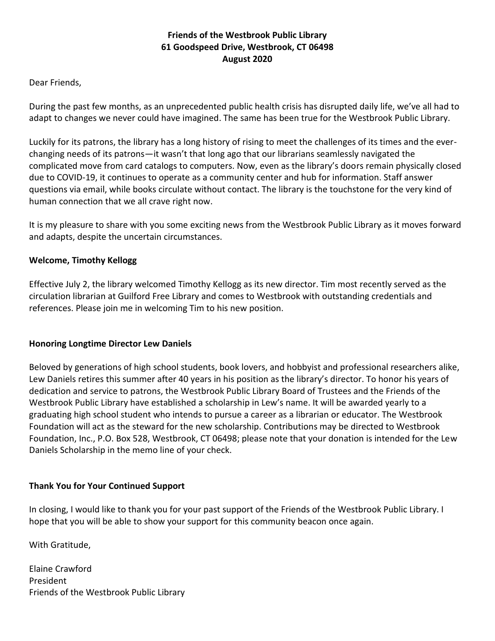# **Friends of the Westbrook Public Library 61 Goodspeed Drive, Westbrook, CT 06498 August 2020**

## Dear Friends,

During the past few months, as an unprecedented public health crisis has disrupted daily life, we've all had to adapt to changes we never could have imagined. The same has been true for the Westbrook Public Library.

Luckily for its patrons, the library has a long history of rising to meet the challenges of its times and the everchanging needs of its patrons—it wasn't that long ago that our librarians seamlessly navigated the complicated move from card catalogs to computers. Now, even as the library's doors remain physically closed due to COVID-19, it continues to operate as a community center and hub for information. Staff answer questions via email, while books circulate without contact. The library is the touchstone for the very kind of human connection that we all crave right now.

It is my pleasure to share with you some exciting news from the Westbrook Public Library as it moves forward and adapts, despite the uncertain circumstances.

### **Welcome, Timothy Kellogg**

Effective July 2, the library welcomed Timothy Kellogg as its new director. Tim most recently served as the circulation librarian at Guilford Free Library and comes to Westbrook with outstanding credentials and references. Please join me in welcoming Tim to his new position.

#### **Honoring Longtime Director Lew Daniels**

Beloved by generations of high school students, book lovers, and hobbyist and professional researchers alike, Lew Daniels retires this summer after 40 years in his position as the library's director. To honor his years of dedication and service to patrons, the Westbrook Public Library Board of Trustees and the Friends of the Westbrook Public Library have established a scholarship in Lew's name. It will be awarded yearly to a graduating high school student who intends to pursue a career as a librarian or educator. The Westbrook Foundation will act as the steward for the new scholarship. Contributions may be directed to Westbrook Foundation, Inc., P.O. Box 528, Westbrook, CT 06498; please note that your donation is intended for the Lew Daniels Scholarship in the memo line of your check.

#### **Thank You for Your Continued Support**

In closing, I would like to thank you for your past support of the Friends of the Westbrook Public Library. I hope that you will be able to show your support for this community beacon once again.

With Gratitude,

Elaine Crawford President Friends of the Westbrook Public Library